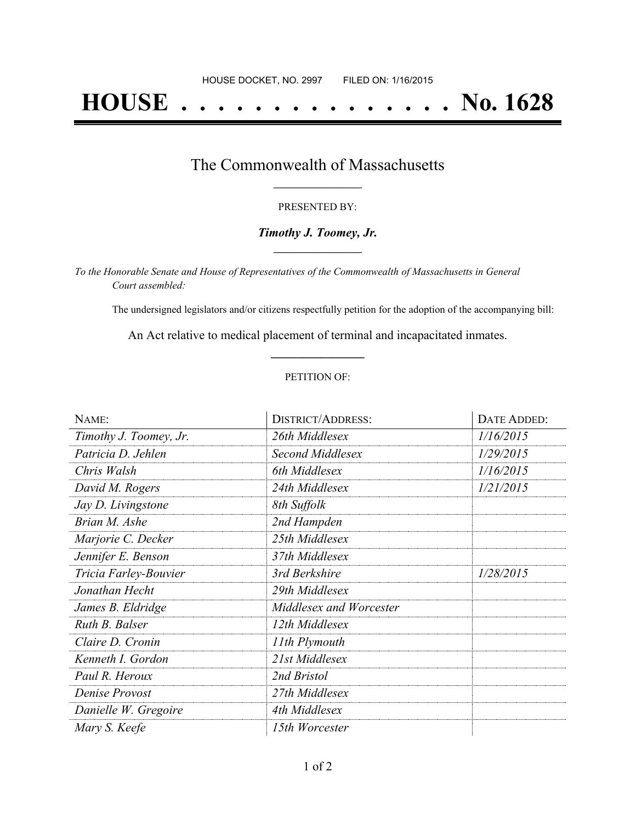# **HOUSE . . . . . . . . . . . . . . . No. 1628**

## The Commonwealth of Massachusetts **\_\_\_\_\_\_\_\_\_\_\_\_\_\_\_\_\_**

#### PRESENTED BY:

#### *Timothy J. Toomey, Jr.* **\_\_\_\_\_\_\_\_\_\_\_\_\_\_\_\_\_**

*To the Honorable Senate and House of Representatives of the Commonwealth of Massachusetts in General Court assembled:*

The undersigned legislators and/or citizens respectfully petition for the adoption of the accompanying bill:

An Act relative to medical placement of terminal and incapacitated inmates. **\_\_\_\_\_\_\_\_\_\_\_\_\_\_\_**

#### PETITION OF:

| NAME:                  | <b>DISTRICT/ADDRESS:</b> | DATE ADDED: |
|------------------------|--------------------------|-------------|
| Timothy J. Toomey, Jr. | 26th Middlesex           | 1/16/2015   |
| Patricia D. Jehlen     | Second Middlesex         | 1/29/2015   |
| Chris Walsh            | 6th Middlesex            | 1/16/2015   |
| David M. Rogers        | 24th Middlesex           | 1/21/2015   |
| Jay D. Livingstone     | 8th Suffolk              |             |
| Brian M. Ashe          | 2nd Hampden              |             |
| Marjorie C. Decker     | 25th Middlesex           |             |
| Jennifer E. Benson     | 37th Middlesex           |             |
| Tricia Farley-Bouvier  | 3rd Berkshire            | 1/28/2015   |
| Jonathan Hecht         | 29th Middlesex           |             |
| James B. Eldridge      | Middlesex and Worcester  |             |
| Ruth B. Balser         | 12th Middlesex           |             |
| Claire D. Cronin       | 11th Plymouth            |             |
| Kenneth I. Gordon      | 21st Middlesex           |             |
| Paul R. Heroux         | 2nd Bristol              |             |
| Denise Provost         | 27th Middlesex           |             |
| Danielle W. Gregoire   | 4th Middlesex            |             |
| Mary S. Keefe          | 15th Worcester           |             |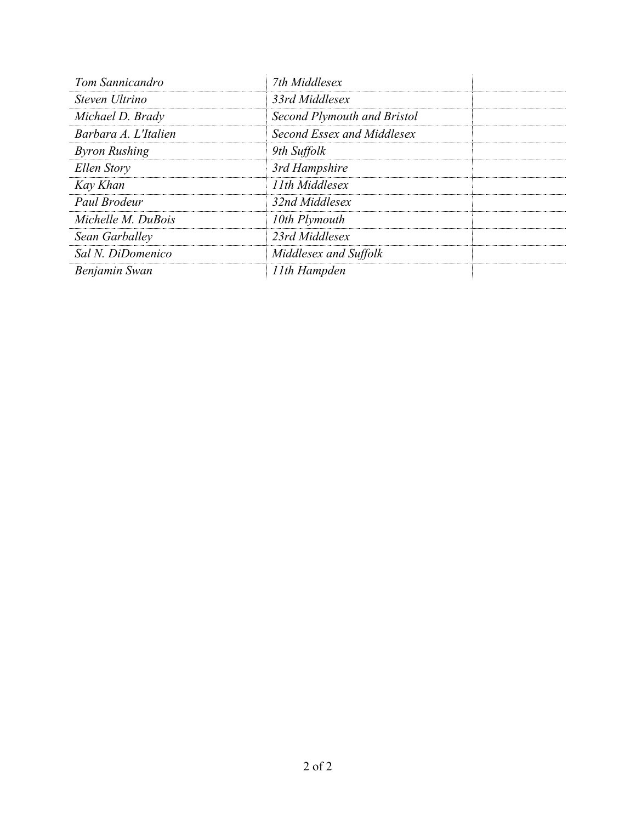| Tom Sannicandro      | 7th Middlesex               |  |
|----------------------|-----------------------------|--|
| Steven Ultrino       | 33rd Middlesex              |  |
| Michael D. Brady     | Second Plymouth and Bristol |  |
| Barbara A. L'Italien | Second Essex and Middlesex  |  |
| <b>Byron Rushing</b> | 9th Suffolk                 |  |
| Ellen Story          | 3rd Hampshire               |  |
| Kay Khan             | 11th Middlesex              |  |
| Paul Brodeur         | 32nd Middlesex              |  |
| Michelle M. DuBois   | 10th Plymouth               |  |
| Sean Garballey       | 23rd Middlesex              |  |
| Sal N. DiDomenico    | Middlesex and Suffolk       |  |
| Benjamin Swan        | 11th Hampden                |  |
|                      |                             |  |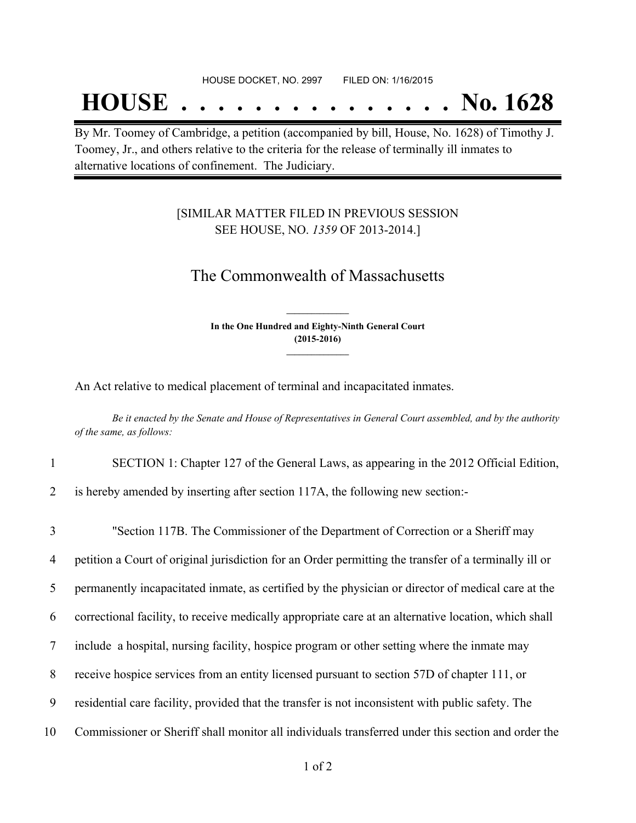## **HOUSE . . . . . . . . . . . . . . . No. 1628**

By Mr. Toomey of Cambridge, a petition (accompanied by bill, House, No. 1628) of Timothy J. Toomey, Jr., and others relative to the criteria for the release of terminally ill inmates to alternative locations of confinement. The Judiciary.

### [SIMILAR MATTER FILED IN PREVIOUS SESSION SEE HOUSE, NO. *1359* OF 2013-2014.]

## The Commonwealth of Massachusetts

**In the One Hundred and Eighty-Ninth General Court (2015-2016) \_\_\_\_\_\_\_\_\_\_\_\_\_\_\_**

**\_\_\_\_\_\_\_\_\_\_\_\_\_\_\_**

An Act relative to medical placement of terminal and incapacitated inmates.

Be it enacted by the Senate and House of Representatives in General Court assembled, and by the authority *of the same, as follows:*

1 SECTION 1: Chapter 127 of the General Laws, as appearing in the 2012 Official Edition,

2 is hereby amended by inserting after section 117A, the following new section:-

 "Section 117B. The Commissioner of the Department of Correction or a Sheriff may petition a Court of original jurisdiction for an Order permitting the transfer of a terminally ill or permanently incapacitated inmate, as certified by the physician or director of medical care at the correctional facility, to receive medically appropriate care at an alternative location, which shall include a hospital, nursing facility, hospice program or other setting where the inmate may receive hospice services from an entity licensed pursuant to section 57D of chapter 111, or residential care facility, provided that the transfer is not inconsistent with public safety. The Commissioner or Sheriff shall monitor all individuals transferred under this section and order the